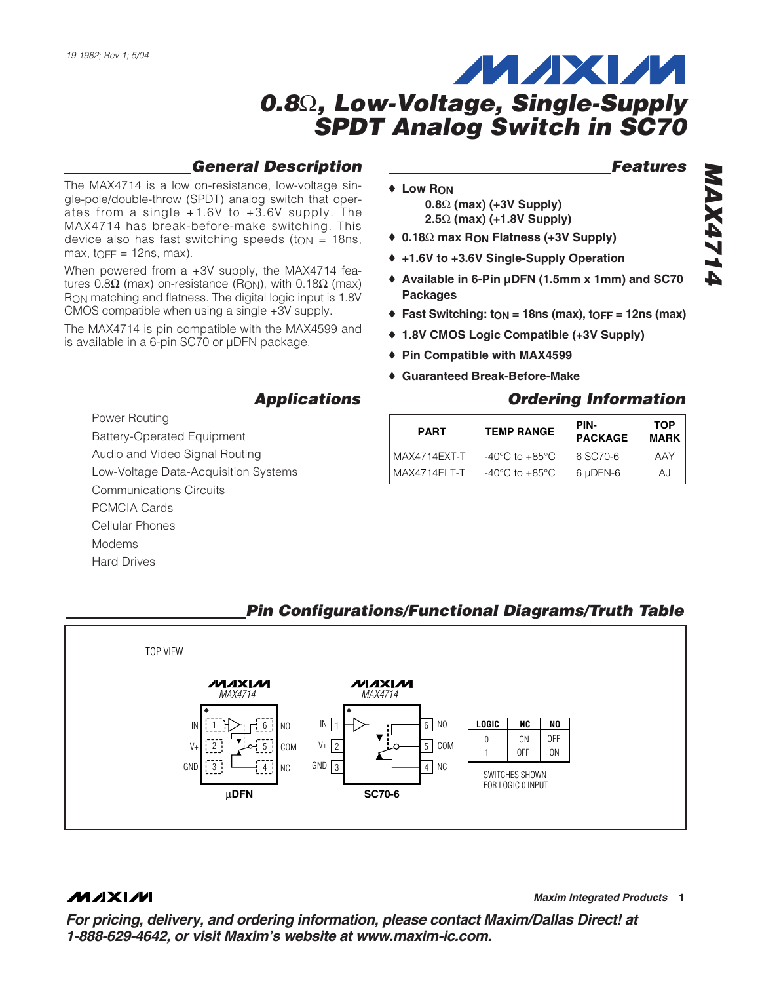#### *General Description*

The MAX4714 is a low on-resistance, low-voltage single-pole/double-throw (SPDT) analog switch that operates from a single +1.6V to +3.6V supply. The MAX4714 has break-before-make switching. This device also has fast switching speeds (to  $N = 18$ ns,  $max$ ,  $top = 12$ ns, max).

When powered from a +3V supply, the MAX4714 features 0.8Ω (max) on-resistance (R<sub>ON</sub>), with 0.18Ω (max) RON matching and flatness. The digital logic input is 1.8V CMOS compatible when using a single +3V supply.

The MAX4714 is pin compatible with the MAX4599 and is available in a 6-pin SC70 or µDFN package.

# ♦ **Low RON**

- **0.8**Ω **(max) (+3V Supply) 2.5**Ω **(max) (+1.8V Supply)**
- ♦ **0.18**Ω **max RON Flatness (+3V Supply)**
- ♦ **+1.6V to +3.6V Single-Supply Operation**
- ♦ **Available in 6-Pin µDFN (1.5mm x 1mm) and SC70 Packages**
- $\triangle$  **Fast Switching: ton = 18ns (max), toff = 12ns (max)**
- ♦ **1.8V CMOS Logic Compatible (+3V Supply)**
- ♦ **Pin Compatible with MAX4599**
- ♦ **Guaranteed Break-Before-Make**

#### *Ordering Information*

| <b>PART</b>    | <b>TEMP RANGE</b>                  |          | <b>TOP</b><br><b>MARK</b> |
|----------------|------------------------------------|----------|---------------------------|
| l MAX4714EXT-T | $-40^{\circ}$ C to $+85^{\circ}$ C | 6 SC70-6 | AAY                       |
| l MAX4714ELT-T | $-40^{\circ}$ C to $+85^{\circ}$ C | 6 µDFN-6 | AJ                        |

FOR LOGIC 0 INPUT

#### TOP VIEW илхии **MAXIM** *MAX4714 MAX4714* IN **LOGIC NC NO** NO IN 1 6 1 6 NO  $\Omega$ ON OFF 5 COM 2 5 COM 2 V+ V+ OFF ON 1  $\overline{4}$  NC  $GND \begin{array}{ccc} 3 & \longrightarrow & 4 \end{array}$  NC  $GND$   $3$   $4$   $N$ 3 4 SWITCHES SHOWN

**SC70-6**

### *Pin Configurations/Functional Diagrams/Truth Table*

**MAXIM** 

**\_\_\_\_\_\_\_\_\_\_\_\_\_\_\_\_\_\_\_\_\_\_\_\_\_\_\_\_\_\_\_\_\_\_\_\_\_\_\_\_\_\_\_\_\_\_\_\_\_\_\_\_\_\_\_\_\_\_\_\_\_\_\_\_** *Maxim Integrated Products* **1**

*For pricing, delivery, and ordering information, please contact Maxim/Dallas Direct! at 1-888-629-4642, or visit Maxim's website at www.maxim-ic.com.*

*Features*

*Applications* 

- Power Routing
- Battery-Operated Equipment
- Audio and Video Signal Routing
- Low-Voltage Data-Acquisition Systems

µ**DFN**

- Communications Circuits
- PCMCIA Cards
- Cellular Phones
- Modems
- Hard Drives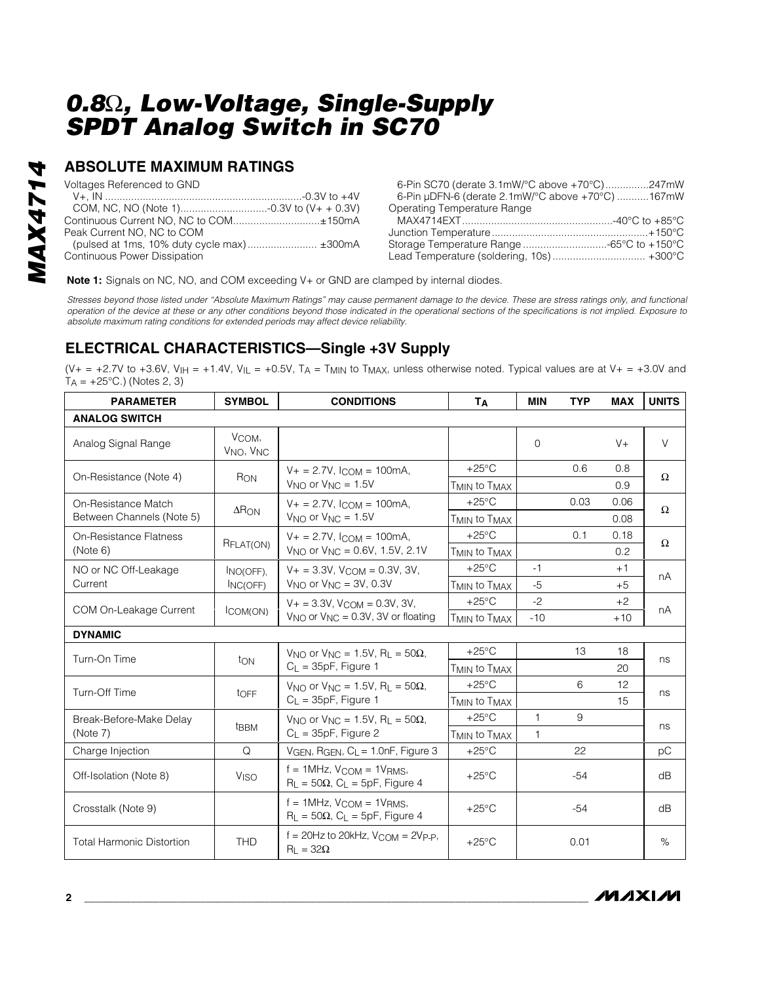#### **ABSOLUTE MAXIMUM RATINGS**

| Voltages Referenced to GND          | 6-Pin SC70 (derate 3.1mW/°C above +70°C)247mW    |  |
|-------------------------------------|--------------------------------------------------|--|
|                                     | 6-Pin µDFN-6 (derate 2.1mW/°C above +70°C) 167mW |  |
|                                     | Operating Temperature Range                      |  |
|                                     |                                                  |  |
| Peak Current NO. NC to COM          |                                                  |  |
|                                     |                                                  |  |
| <b>Continuous Power Dissipation</b> |                                                  |  |

**Note 1:** Signals on NC, NO, and COM exceeding V+ or GND are clamped by internal diodes.

*Stresses beyond those listed under "Absolute Maximum Ratings" may cause permanent damage to the device. These are stress ratings only, and functional operation of the device at these or any other conditions beyond those indicated in the operational sections of the specifications is not implied. Exposure to absolute maximum rating conditions for extended periods may affect device reliability.*

#### **ELECTRICAL CHARACTERISTICS—Single +3V Supply**

(V+ = +2.7V to +3.6V, V<sub>IH</sub> = +1.4V, V<sub>IL</sub> = +0.5V, T<sub>A</sub> = T<sub>MIN</sub> to T<sub>MAX</sub>, unless otherwise noted. Typical values are at V+ = +3.0V and  $T_A = +25$ °C.) (Notes 2, 3)

| <b>PARAMETER</b>                 | <b>SYMBOL</b>                              | <b>CONDITIONS</b>                                                                                   | Tд                                   | <b>MIN</b>   | <b>TYP</b> | <b>MAX</b> | <b>UNITS</b> |
|----------------------------------|--------------------------------------------|-----------------------------------------------------------------------------------------------------|--------------------------------------|--------------|------------|------------|--------------|
| <b>ANALOG SWITCH</b>             |                                            |                                                                                                     |                                      |              |            |            |              |
| Analog Signal Range              | VCOM,<br>V <sub>NO</sub> , V <sub>NC</sub> |                                                                                                     |                                      | $\mathbf 0$  |            | $V +$      | $\vee$       |
| On-Resistance (Note 4)           | RON                                        | $V_+ = 2.7V$ , $I_{COM} = 100$ mA,                                                                  | $+25^{\circ}$ C                      |              | 0.6        | 0.8        | Ω            |
|                                  |                                            | $V_{NO}$ or $V_{NC} = 1.5V$                                                                         | T <sub>MIN</sub> to T <sub>MAX</sub> |              |            | 0.9        |              |
| On-Resistance Match              | $\Delta$ RON                               | $V_+ = 2.7V$ , $I_{COM} = 100mA$ ,                                                                  | $+25^{\circ}$ C                      |              | 0.03       | 0.06       | $\Omega$     |
| Between Channels (Note 5)        |                                            | $V_{NO}$ or $V_{NC} = 1.5V$                                                                         | T <sub>MIN</sub> to T <sub>MAX</sub> |              |            | 0.08       |              |
| On-Resistance Flatness           | RFLAT(ON)                                  | $V_+ = 2.7V$ , $l_{COM} = 100$ mA,                                                                  | $+25^{\circ}$ C                      |              | 0.1        | 0.18       | Ω            |
| (Note 6)                         |                                            | $V_{NO}$ or $V_{NC} = 0.6V$ , 1.5V, 2.1V                                                            | T <sub>MIN</sub> to T <sub>MAX</sub> |              |            | 0.2        |              |
| NO or NC Off-Leakage             | INO(OFF).                                  | $V_+ = 3.3V$ . $V_{\text{COM}} = 0.3V$ . 3V.                                                        | $+25^{\circ}$ C                      | $-1$         |            | $+1$       | nA           |
| Current                          | INC(OFF)                                   | $V_{NO}$ or $V_{NC} = 3V$ , 0.3V                                                                    | T <sub>MIN</sub> to T <sub>MAX</sub> | $-5$         |            | $+5$       |              |
| COM On-Leakage Current           | ICOM(ON)                                   | $V_+ = 3.3V$ , $V_{COM} = 0.3V$ , 3V,<br>$V_{\text{NO}}$ or $V_{\text{NC}} = 0.3V$ , 3V or floating | $+25^{\circ}$ C                      | $-2$         |            | $+2$       | nA           |
|                                  |                                            |                                                                                                     | T <sub>MIN</sub> to T <sub>MAX</sub> | $-10$        |            | $+10$      |              |
| <b>DYNAMIC</b>                   |                                            |                                                                                                     |                                      |              |            |            |              |
| Turn-On Time                     | ton                                        | $V_{NO}$ or $V_{NC} = 1.5V$ , R <sub>L</sub> = 50 $\Omega$ ,                                        | $+25^{\circ}$ C                      |              | 13         | 18         | ns           |
|                                  |                                            | $C_{L}$ = 35pF, Figure 1                                                                            | T <sub>MIN</sub> to T <sub>MAX</sub> |              |            | 20         |              |
| Turn-Off Time                    | toFF                                       | $V_{NO}$ or $V_{NC}$ = 1.5V, R <sub>L</sub> = 50 $\Omega$ ,                                         | $+25^{\circ}$ C                      |              | 6          | 12         | ns           |
|                                  |                                            | $C_{L}$ = 35pF, Figure 1                                                                            | T <sub>MIN</sub> to T <sub>MAX</sub> |              |            | 15         |              |
| Break-Before-Make Delay          |                                            | V <sub>NO</sub> or V <sub>NC</sub> = 1.5V, R <sub>L</sub> = 50 $\Omega$ ,                           | $+25^{\circ}$ C                      | $\mathbf{1}$ | 9          |            |              |
| (Note 7)                         | <b>t</b> BBM                               | $C_{L}$ = 35pF, Figure 2                                                                            | T <sub>MIN</sub> to T <sub>MAX</sub> | $\mathbf{1}$ |            |            | ns           |
| Charge Injection                 | Q                                          | $V_{GEN}$ , R <sub>GEN</sub> , $C_L = 1.0$ nF, Figure 3                                             | $+25^{\circ}$ C                      |              | 22         |            | рC           |
| Off-Isolation (Note 8)           | Viso                                       | $f = 1$ MHz, $V_{COM} = 1V_{RMS}$ ,<br>$R_{L} = 50\Omega$ , $C_{L} = 5pF$ , Figure 4                | $+25^{\circ}$ C                      |              | $-54$      |            | dB           |
| Crosstalk (Note 9)               |                                            | $f = 1$ MHz, $V_{COM} = 1V_{RMS}$<br>$R_L = 50\Omega$ , $C_L = 5pF$ , Figure 4                      | $+25^{\circ}$ C                      |              | $-54$      |            | dB           |
| <b>Total Harmonic Distortion</b> | <b>THD</b>                                 | $f = 20$ Hz to 20kHz, $V_{COM} = 2V_{P-P}$ ,<br>$R_{L} = 32\Omega$                                  | $+25^{\circ}$ C                      |              | 0.01       |            | $\%$         |

**MAXIM**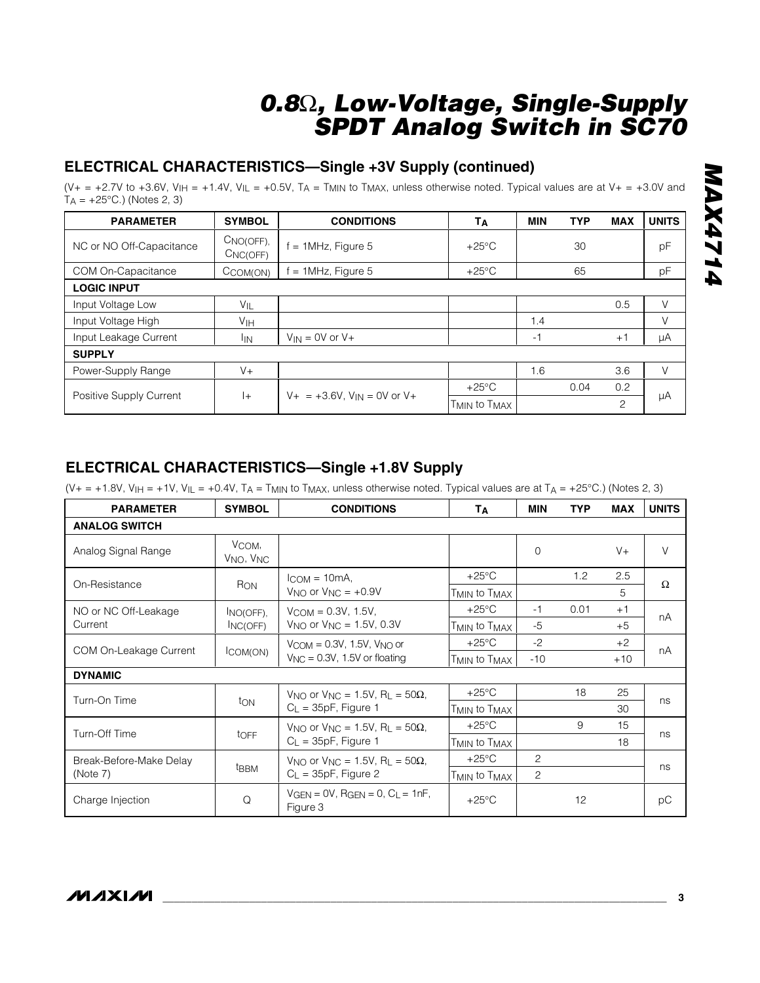### **ELECTRICAL CHARACTERISTICS—Single +3V Supply (continued)**

 $(V_{+} = +2.7V$  to +3.6V,  $V_{HH} = +1.4V$ ,  $V_{HL} = +0.5V$ ,  $T_A = T_{MIN}$  to  $T_{MAX}$ , unless otherwise noted. Typical values are at  $V_{+} = +3.0V$  and  $T_A = +25$ °C.) (Notes 2, 3)

| <b>PARAMETER</b>               | <b>SYMBOL</b>                      | <b>CONDITIONS</b>                    | Tд              | <b>MIN</b> | <b>TYP</b> | <b>MAX</b> | <b>UNITS</b> |
|--------------------------------|------------------------------------|--------------------------------------|-----------------|------------|------------|------------|--------------|
| NC or NO Off-Capacitance       | $CNO(OFF)$ ,<br>CNC(OFF)           | $= 1$ MHz, Figure 5                  | $+25^{\circ}$ C |            | 30         |            | pF           |
| COM On-Capacitance             | CCOM(ON)                           | $= 1$ MHz, Figure 5                  | $+25^{\circ}$ C |            | 65         |            | pF           |
| <b>LOGIC INPUT</b>             |                                    |                                      |                 |            |            |            |              |
| Input Voltage Low              | $V_{IL}$                           |                                      |                 |            |            | 0.5        | $\vee$       |
| Input Voltage High             | V <sub>IH</sub>                    |                                      |                 | 1.4        |            |            | V            |
| Input Leakage Current          | <sup>I</sup> IN                    | $V_{IN} = 0V$ or $V +$               |                 | $-1$       |            | $+1$       | μA           |
| <b>SUPPLY</b>                  |                                    |                                      |                 |            |            |            |              |
| Power-Supply Range             | $V +$                              |                                      |                 | 1.6        |            | 3.6        | $\vee$       |
| Positive Supply Current<br>$+$ |                                    |                                      | $+25^{\circ}$ C |            | 0.04       | 0.2        |              |
|                                | $V_+$ = +3.6V, $V_{IN}$ = 0V or V+ | T <sub>MIN</sub> to T <sub>MAX</sub> |                 |            | 2          | μA         |              |

#### **ELECTRICAL CHARACTERISTICS—Single +1.8V Supply**

 $(V+= +1.8V, V_{IH} = +1V, V_{IL} = +0.4V, T_A = T_{MIN}$  to T<sub>MAX</sub>, unless otherwise noted. Typical values are at T<sub>A</sub> = +25°C.) (Notes 2, 3)

| <b>PARAMETER</b>                                        | <b>SYMBOL</b>                                                             | <b>CONDITIONS</b>                                                                                    | Tд                                   | <b>MIN</b>     | <b>TYP</b> | <b>MAX</b> | <b>UNITS</b> |
|---------------------------------------------------------|---------------------------------------------------------------------------|------------------------------------------------------------------------------------------------------|--------------------------------------|----------------|------------|------------|--------------|
| <b>ANALOG SWITCH</b>                                    |                                                                           |                                                                                                      |                                      |                |            |            |              |
| Analog Signal Range                                     | VCOM,<br>V <sub>NO</sub> , V <sub>NC</sub>                                |                                                                                                      |                                      | $\Omega$       |            | $V +$      | V            |
| On-Resistance                                           |                                                                           | $l_{\text{COM}} = 10 \text{mA}$                                                                      | $+25^{\circ}$ C                      |                | 1.2        | 2.5        | $\Omega$     |
|                                                         | RON                                                                       | $V_{\text{NO}}$ or $V_{\text{NC}} = +0.9V$                                                           | T <sub>MIN</sub> to T <sub>MAX</sub> |                |            | 5          |              |
| NO or NC Off-Leakage                                    | INO(OFF).                                                                 | $V_{\rm COM} = 0.3V$ , 1.5V,                                                                         | $+25^{\circ}$ C                      | $-1$           | 0.01       | $+1$       | nA           |
| Current                                                 | INC(OFF)                                                                  | $V_{NO}$ or $V_{NC} = 1.5V$ , 0.3V                                                                   | T <sub>MIN</sub> to T <sub>MAX</sub> | $-5$           |            | $+5$       |              |
| COM On-Leakage Current                                  | ICOM(ON)                                                                  | $V_{\text{COM}} = 0.3V$ , 1.5V, $V_{\text{NO}}$ or<br>$V_{\text{NC}} = 0.3V$ , 1.5V or floating      | $+25^{\circ}$ C                      | $-2$           |            | $+2$       | nA           |
|                                                         |                                                                           |                                                                                                      | T <sub>MIN</sub> to T <sub>MAX</sub> | $-10$          |            | $+10$      |              |
| <b>DYNAMIC</b>                                          |                                                                           |                                                                                                      |                                      |                |            |            |              |
|                                                         | ton                                                                       | V <sub>NO</sub> or V <sub>NC</sub> = 1.5V, R <sub>I</sub> = 50 $\Omega$ ,<br>$C_L = 35pF$ , Figure 1 | $+25^{\circ}$ C                      |                | 18         | 25         |              |
| Turn-On Time                                            |                                                                           |                                                                                                      | T <sub>MIN</sub> to T <sub>MAX</sub> |                |            | 30         | ns           |
| Turn-Off Time                                           |                                                                           | V <sub>NO</sub> or V <sub>NC</sub> = 1.5V, R <sub>I</sub> = 50 $\Omega$ ,<br>$C_L = 35pF$ , Figure 1 | $+25^{\circ}$ C                      |                | 9          | 15         |              |
|                                                         | toFF                                                                      |                                                                                                      | T <sub>MIN</sub> to T <sub>MAX</sub> |                |            | 18         | ns           |
| Break-Before-Make Delay<br>t <sub>BBM</sub><br>(Note 7) | V <sub>NO</sub> or V <sub>NC</sub> = 1.5V, R <sub>L</sub> = 50 $\Omega$ , | $+25^{\circ}$ C                                                                                      | 2                                    |                |            |            |              |
|                                                         |                                                                           | $C_L = 35pF$ , Figure 2                                                                              | T <sub>MIN</sub> to T <sub>MAX</sub> | $\overline{2}$ |            |            | ns           |
| Charge Injection                                        | Q                                                                         | $VGEN = OV$ , $RGEN = 0$ , $C_L = 1nF$ ,<br>Figure 3                                                 | $+25^{\circ}$ C                      |                | 12         |            | рC           |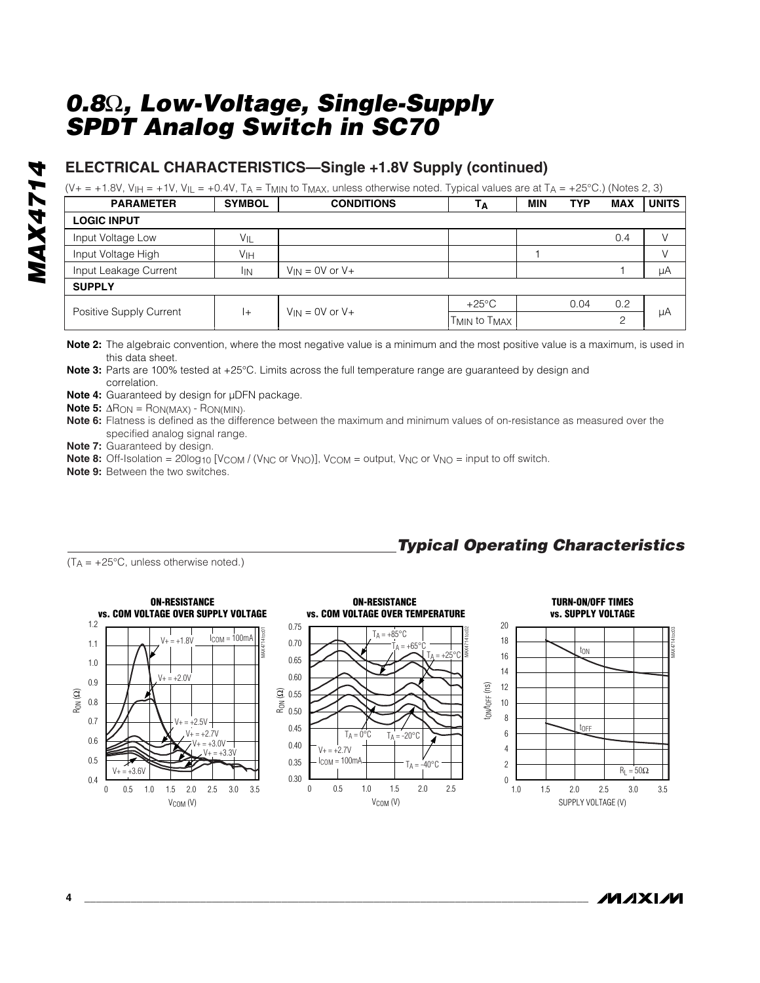#### **ELECTRICAL CHARACTERISTICS—Single +1.8V Supply (continued)**

 $(V+= +1.8V, V_{IH} = +1V, V_{IL} = +0.4V, T_A = T_{MIN}$  to T<sub>MAX</sub>, unless otherwise noted. Typical values are at T<sub>A</sub> = +25°C.) (Notes 2, 3)

| <b>PARAMETER</b>               | <b>SYMBOL</b>     | <b>CONDITIONS</b>   | Тд                                   | <b>MIN</b> | <b>TYP</b> | <b>MAX</b> | <b>UNITS</b> |
|--------------------------------|-------------------|---------------------|--------------------------------------|------------|------------|------------|--------------|
| <b>LOGIC INPUT</b>             |                   |                     |                                      |            |            |            |              |
| Input Voltage Low              | $V_{\parallel L}$ |                     |                                      |            |            | 0.4        |              |
| Input Voltage High             | V <sub>IH</sub>   |                     |                                      |            |            |            |              |
| Input Leakage Current          | <b>IIN</b>        | $V_{IN}$ = 0V or V+ |                                      |            |            |            | μA           |
| <b>SUPPLY</b>                  |                   |                     |                                      |            |            |            |              |
| Positive Supply Current<br>$+$ |                   | $V_{IN}$ = 0V or V+ | $+25^{\circ}$ C                      |            | 0.04       | 0.2        |              |
|                                |                   |                     | T <sub>MIN</sub> to T <sub>MAX</sub> |            |            | ⌒          | μA           |

**Note 2:** The algebraic convention, where the most negative value is a minimum and the most positive value is a maximum, is used in this data sheet.

**Note 3:** Parts are 100% tested at +25°C. Limits across the full temperature range are guaranteed by design and correlation.

**Note 4:** Guaranteed by design for µDFN package.

**Note 5:**  $\Delta$ R<sub>ON</sub> = R<sub>ON(MAX)</sub> - R<sub>ON(MIN)</sub>.

**Note 6:** Flatness is defined as the difference between the maximum and minimum values of on-resistance as measured over the specified analog signal range.

**Note 7:** Guaranteed by design.

**Note 8:** Off-Isolation =  $20\log_{10}$  [V<sub>COM</sub> / (V<sub>NC</sub> or V<sub>NO</sub>)], V<sub>COM</sub> = output, V<sub>NC</sub> or V<sub>NO</sub> = input to off switch.

**Note 9:** Between the two switches.



### *Typical Operating Characteristics*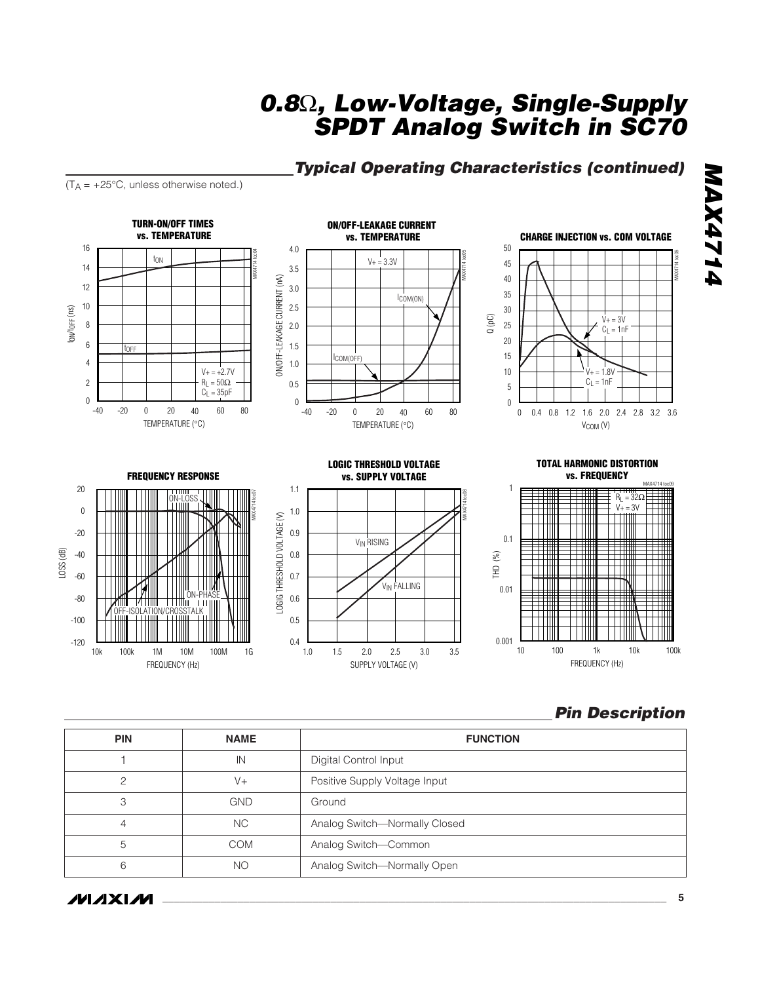#### *Typical Operating Characteristics (continued)*

 $(T_A = +25^{\circ}C,$  unless otherwise noted.)

**TURN-ON/OFF TIMES ON/OFF-LEAKAGE CURRENT vs. TEMPERATURE CHARGE INJECTION vs. COM VOLTAGE vs. TEMPERATURE** 16 4.0 50 MAX4714 toc04  $V_+ = 3.3V$ MAX4714 toc05 tON 45 14 3.5 40 ON/OFF-LEAKAGE CURRENT (nA) ON/OFF-LEAKAGE CURRENT (nA) 12 3.0 35 ICOM(ON) 10 2.5 30 tON/tOFF (ns) Q (pC)  $V+=3V$ 8 2.0 25  $C_L = 1nF$ 20 6 1.5 tOFF 15 ICOM(OFF) 4 1.0  $V_+ = +2.7V$ 10  $= 1.8V$ 2  $R_L = 50\Omega$  $C_L = 1nF$ 0.5 5  $C_L = 35pF$ 0  $\Omega$ 0 0 0.8 1.2 1.6 0.4 2.0 2.4 2.8 3.2 3.6 -40 0 20 -20 40 60 80 -40 0 20 -20 40 60 80 TEMPERATURE (°C) TEMPERATURE (°C) V<sub>COM</sub> (V) **TOTAL HARMONIC DISTORTION LOGIC THRESHOLD VOLTAGE FREQUENCY RESPONSE vs. SUPPLY VOLTAGE vs. FREQUENCY** MAX4714 toc09 20 1 1.1 MAX4714 toc07 MAX4714 toc08 R<sub>L</sub> = 32Ω<br>V+ = 3V ON-LOSS  $\mathbf 0$ 1.0 Ħ ╫╫ LOGIG THRESHOLD VOLTAGE (V) LOGIG THRESHOLD VOLTAGE (V) ┯╇╫╫ T 11 11 Ш HII ШI -20 0.9 0.1 V<sub>IN</sub> RISING █ LOSS (dB) -40 THD (%) 0.8 H HII -60 0.7  $\blacksquare$ V<sub>IN</sub> FALLING TTIII TIII 0.01 ON-PHASE -80 0.6 ATION/CROSSTALK | | | | |  $+\!\!+\!\!+\!\!+\!\!-\!\!$ 0.5 -100 **TTTII** 0.001 -120 0.4 10 1k 100k 100 1k 10k 10k 10M 100M 100k 1M 1G 1.0 1.5 2.0 2.5 3.0 3.5 FREQUENCY (Hz) SUPPLY VOLTAGE (V) FREQUENCY (Hz)

#### *Pin Description*

| <b>PIN</b> | <b>NAME</b> | <b>FUNCTION</b>               |
|------------|-------------|-------------------------------|
|            | IN          | Digital Control Input         |
|            | V+          | Positive Supply Voltage Input |
| 3          | <b>GND</b>  | Ground                        |
|            | NC.         | Analog Switch-Normally Closed |
| 5          | COM         | Analog Switch-Common          |
| 6          | <b>NO</b>   | Analog Switch-Normally Open   |

*IVI A* XI*IV*I

**NAX4714** *MAX4714*

MAX4714 toc06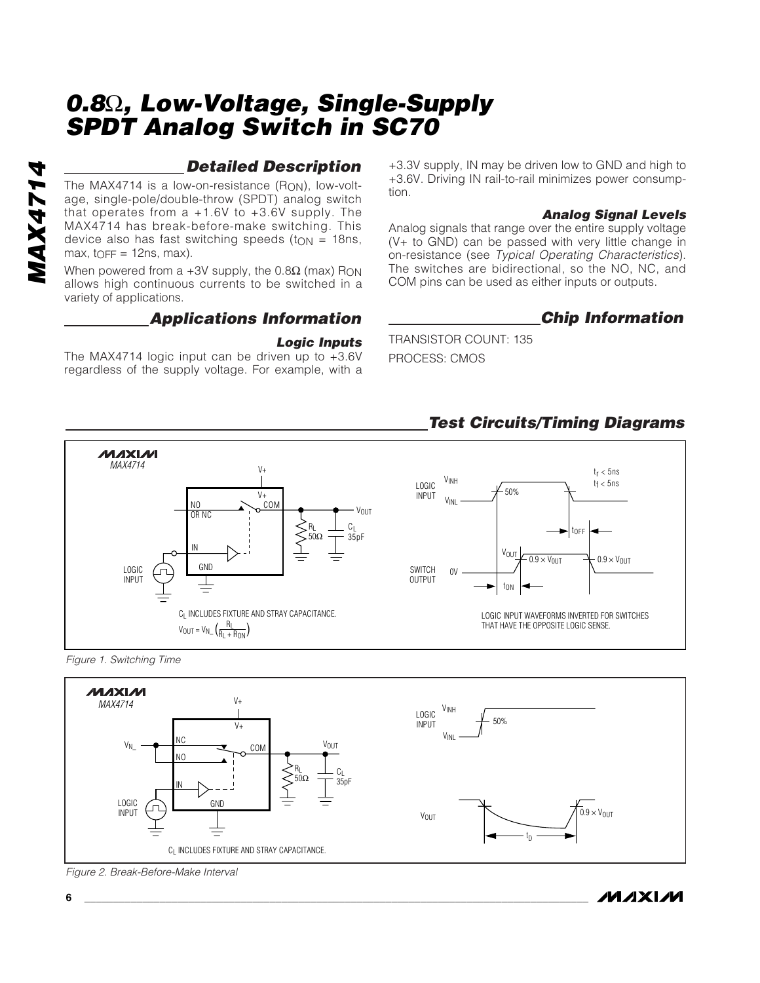#### *Detailed Description*

The MAX4714 is a low-on-resistance  $(R<sub>ON</sub>)$ , low-voltage, single-pole/double-throw (SPDT) analog switch that operates from  $a +1.6V$  to  $+3.6V$  supply. The MAX4714 has break-before-make switching. This device also has fast switching speeds (t $_{ON}$  = 18ns,  $max$ ,  $top = 12$ ns, max).

When powered from a +3V supply, the  $0.8\Omega$  (max) R<sub>ON</sub> allows high continuous currents to be switched in a variety of applications.

#### *Applications Information*

#### *Logic Inputs*

The MAX4714 logic input can be driven up to +3.6V regardless of the supply voltage. For example, with a +3.3V supply, IN may be driven low to GND and high to +3.6V. Driving IN rail-to-rail minimizes power consumption.

#### *Analog Signal Levels*

Analog signals that range over the entire supply voltage (V+ to GND) can be passed with very little change in on-resistance (see *Typical Operating Characteristics*). The switches are bidirectional, so the NO, NC, and COM pins can be used as either inputs or outputs.

#### *Chip Information*

**MAXIM** 

TRANSISTOR COUNT: 135 PROCESS: CMOS

#### *Test Circuits/Timing Diagrams*







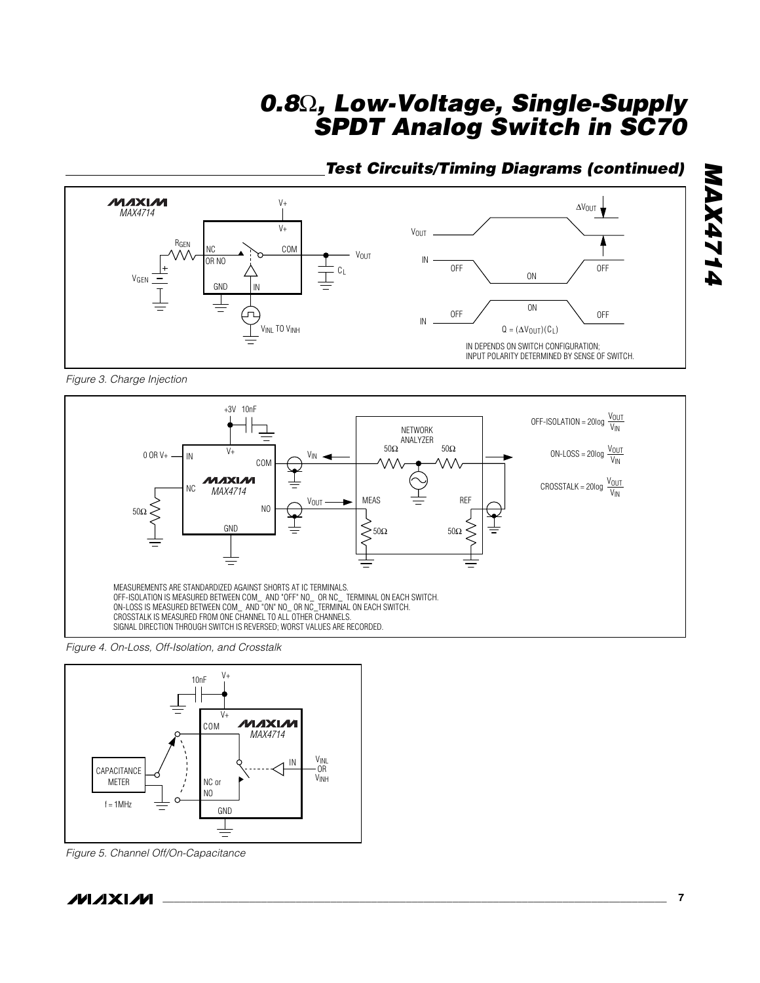#### *Test Circuits/Timing Diagrams (continued)*



*Figure 3. Charge Injection* 



*Figure 4. On-Loss, Off-Isolation, and Crosstalk*



*Figure 5. Channel Off/On-Capacitance*

*MAX4714*

**NAX4714**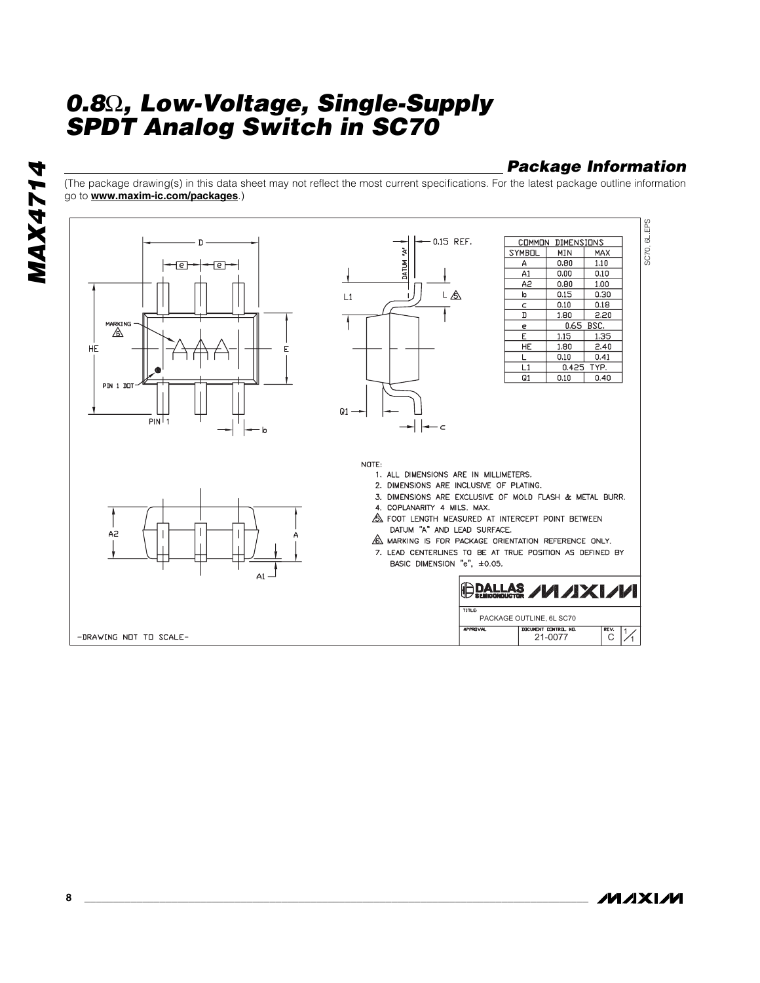#### *Package Information*

(The package drawing(s) in this data sheet may not reflect the most current specifications. For the latest package outline information go to **www.maxim-ic.com/packages**.)



**MAX4714** *MAX4714*

**MAXM**